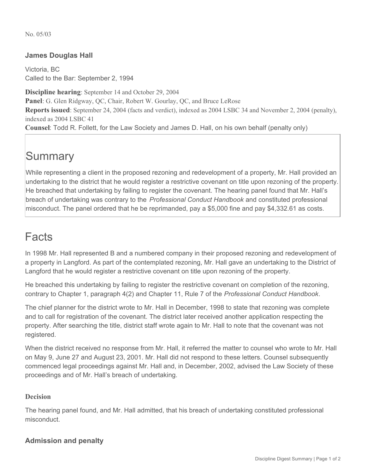No. 05/03

### **James Douglas Hall**

Victoria, BC Called to the Bar: September 2, 1994

**Discipline hearing**: September 14 and October 29, 2004 **Panel**: G. Glen Ridgway, QC, Chair, Robert W. Gourlay, QC, and Bruce LeRose **Reports issued**: September 24, 2004 (facts and verdict), indexed as 2004 LSBC 34 and November 2, 2004 (penalty), indexed as 2004 LSBC 41 **Counsel**: Todd R. Follett, for the Law Society and James D. Hall, on his own behalf (penalty only)

# **Summary**

While representing a client in the proposed rezoning and redevelopment of a property, Mr. Hall provided an undertaking to the district that he would register a restrictive covenant on title upon rezoning of the property. He breached that undertaking by failing to register the covenant. The hearing panel found that Mr. Hall's breach of undertaking was contrary to the *Professional Conduct Handbook* and constituted professional misconduct. The panel ordered that he be reprimanded, pay a \$5,000 fine and pay \$4,332.61 as costs.

## Facts

In 1998 Mr. Hall represented B and a numbered company in their proposed rezoning and redevelopment of a property in Langford. As part of the contemplated rezoning, Mr. Hall gave an undertaking to the District of Langford that he would register a restrictive covenant on title upon rezoning of the property.

He breached this undertaking by failing to register the restrictive covenant on completion of the rezoning, contrary to Chapter 1, paragraph 4(2) and Chapter 11, Rule 7 of the *Professional Conduct Handbook*.

The chief planner for the district wrote to Mr. Hall in December, 1998 to state that rezoning was complete and to call for registration of the covenant. The district later received another application respecting the property. After searching the title, district staff wrote again to Mr. Hall to note that the covenant was not registered.

When the district received no response from Mr. Hall, it referred the matter to counsel who wrote to Mr. Hall on May 9, June 27 and August 23, 2001. Mr. Hall did not respond to these letters. Counsel subsequently commenced legal proceedings against Mr. Hall and, in December, 2002, advised the Law Society of these proceedings and of Mr. Hall's breach of undertaking.

#### **Decision**

The hearing panel found, and Mr. Hall admitted, that his breach of undertaking constituted professional misconduct.

### **Admission and penalty**